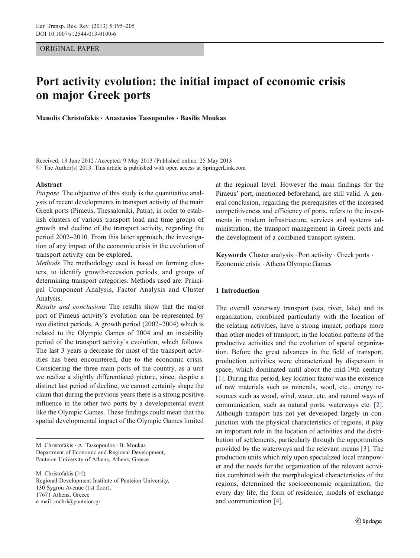#### ORIGINAL PAPER

# Port activity evolution: the initial impact of economic crisis on major Greek ports

Manolis Christofakis · Anastasios Tassopoulos · Basilis Moukas

Received: 13 June 2012 / Accepted: 9 May 2013 / Published online: 25 May 2013  $\odot$  The Author(s) 2013. This article is published with open access at SpringerLink.com

# Abstract

Purpose The objective of this study is the quantitative analysis of recent developments in transport activity of the main Greek ports (Piraeus, Thessaloniki, Patra), in order to establish clusters of various transport load and time groups of growth and decline of the transport activity, regarding the period 2002–2010. From this latter approach, the investigation of any impact of the economic crisis in the evolution of transport activity can be explored.

Methods The methodology used is based on forming clusters, to identify growth-recession periods, and groups of determining transport categories. Methods used are: Principal Component Analysis, Factor Analysis and Cluster Analysis.

Results and conclusions The results show that the major port of Piraeus activity's evolution can be represented by two distinct periods. A growth period (2002–2004) which is related to the Olympic Games of 2004 and an instability period of the transport activity's evolution, which follows. The last 3 years a decrease for most of the transport activities has been encountered, due to the economic crisis. Considering the three main ports of the country, as a unit we realize a slightly differentiated picture, since, despite a distinct last period of decline, we cannot certainly shape the claim that during the previous years there is a strong positive influence in the other two ports by a developmental event like the Olympic Games. These findings could mean that the spatial developmental impact of the Olympic Games limited

M. Christofakis · A. Tassopoulos · B. Moukas Department of Economic and Regional Development, Panteion University of Athens, Athens, Greece

M. Christofakis  $(\boxtimes)$ Regional Development Institute of Panteion University, 130 Sygrou Avenue (1st floor), 17671 Athens, Greece e-mail: mchri@panteion.gr

at the regional level. However the main findings for the Piraeus' port, mentioned beforehand, are still valid. A general conclusion, regarding the prerequisites of the increased competitiveness and efficiency of ports, refers to the investments in modern infrastructure, services and systems administration, the transport management in Greek ports and the development of a combined transport system.

Keywords Cluster analysis  $\cdot$  Port activity  $\cdot$  Greek ports  $\cdot$ Economic crisis . Athens Olympic Games

# 1 Introduction

The overall waterway transport (sea, river, lake) and its organization, combined particularly with the location of the relating activities, have a strong impact, perhaps more than other modes of transport, in the location patterns of the productive activities and the evolution of spatial organization. Before the great advances in the field of transport, production activities were characterized by dispersion in space, which dominated until about the mid-19th century [\[1](#page-9-0)]. During this period, key location factor was the existence of raw materials such as minerals, wool, etc., energy resources such as wood, wind, water, etc. and natural ways of communication, such as natural ports, waterways etc. [[2\]](#page-9-0). Although transport has not yet developed largely in conjunction with the physical characteristics of regions, it play an important role in the location of activities and the distribution of settlements, particularly through the opportunities provided by the waterways and the relevant means [\[3](#page-9-0)]. The production units which rely upon specialized local manpower and the needs for the organization of the relevant activities combined with the morphological characteristics of the regions, determined the socioeconomic organization, the every day life, the form of residence, models of exchange and communication [\[4](#page-9-0)].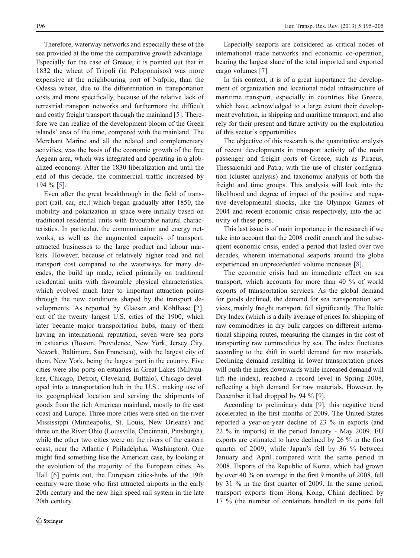Therefore, waterway networks and especially these of the sea provided at the time the comparative growth advantage. Especially for the case of Greece, it is pointed out that in 1832 the wheat of Tripoli (in Peloponnisos) was more expensive at the neighbouring port of Nafplio, than the Odessa wheat, due to the differentiation in transportation costs and more specifically, because of the relative lack of terrestrial transport networks and furthermore the difficult and costly freight transport through the mainland [[5\]](#page-9-0). Therefore we can realize of the development bloom of the Greek islands' area of the time, compared with the mainland. The Merchant Marine and all the related and complementary activities, was the basis of the economic growth of the free Aegean area, which was integrated and operating in a globalized economy. After the 1830 liberalization and until the end of this decade, the commercial traffic increased by 194 % [\[5](#page-9-0)].

Even after the great breakthrough in the field of transport (rail, car, etc.) which began gradually after 1850, the mobility and polarization in space were initially based on traditional residential units with favourable natural characteristics. In particular, the communication and energy networks, as well as the augmented capacity of transport, attracted businesses to the large product and labour markets. However, because of relatively higher road and rail transport cost compared to the waterways for many decades, the build up made, relied primarily on traditional residential units with favourable physical characteristics, which evolved much later to important attraction points through the new conditions shaped by the transport developments. As reported by Glaeser and Kohlhase [\[2](#page-9-0)], out of the twenty largest U.S. cities of the 1900, which later became major transportation hubs, many of them having an international reputation, seven were sea ports in estuaries (Boston, Providence, New York, Jersey City, Newark, Baltimore, San Francisco), with the largest city of them, New York, being the largest port in the country. Five cities were also ports on estuaries in Great Lakes (Milwaukee, Chicago, Detroit, Cleveland, Buffalo). Chicago developed into a transportation hub in the U.S., making use of its geographical location and serving the shipments of goods from the rich American mainland, mostly to the east coast and Europe. Three more cities were sited on the river Mississippi (Minneapolis, St. Louis, New Orleans) and three on the River Ohio (Louisville, Cincinnati, Pittsburgh), while the other two cities were on the rivers of the eastern coast, near the Atlantic ( Philadelphia, Washington). One might find something like the American case, by looking at the evolution of the majority of the European cities. As Hall [[6\]](#page-9-0) points out, the European cities-hubs of the 19th century were those who first attracted airports in the early 20th century and the new high speed rail system in the late 20th century.

Especially seaports are considered as critical nodes of international trade networks and economic co-operation, bearing the largest share of the total imported and exported cargo volumes [[7\]](#page-9-0).

In this context, it is of a great importance the development of organization and locational nodal infrastructure of maritime transport, especially in countries like Greece, which have acknowledged to a large extent their development evolution, in shipping and maritime transport, and also rely for their present and future activity on the exploitation of this sector's opportunities.

The objective of this research is the quantitative analysis of recent developments in transport activity of the main passenger and freight ports of Greece, such as Piraeus, Thessaloniki and Patra, with the use of cluster configuration (cluster analysis) and taxonomic analysis of both the freight and time groups. This analysis will look into the likelihood and degree of impact of the positive and negative developmental shocks, like the Olympic Games of 2004 and recent economic crisis respectively, into the activity of these ports.

This last issue is of main importance in the research if we take into account that the 2008 credit crunch and the subsequent economic crisis, ended a period that lasted over two decades, wherein international seaports around the globe experienced an unprecedented volume increases [[8\]](#page-9-0).

The economic crisis had an immediate effect on sea transport, which accounts for more than 40 % of world exports of transportation services. As the global demand for goods declined, the demand for sea transportation services, mainly freight transport, fell significantly. The Baltic Dry Index (which is a daily average of prices for shipping of raw commodities in dry bulk cargoes on different international shipping routes, measuring the changes in the cost of transporting raw commodities by sea. The index fluctuates according to the shift in world demand for raw materials. Declining demand resulting in lower transportation prices will push the index downwards while increased demand will lift the index), reached a record level in Spring 2008, reflecting a high demand for raw materials. However, by December it had dropped by 94 % [\[9](#page-9-0)].

According to preliminary data [\[9](#page-9-0)], this negative trend accelerated in the first months of 2009. The United States reported a year-on-year decline of 23 % in exports (and 22 % in imports) in the period January - May 2009. EU exports are estimated to have declined by 26 % in the first quarter of 2009, while Japan's fell by 36 % between January and April compared with the same period in 2008. Exports of the Republic of Korea, which had grown by over 40 % on average in the first 9 months of 2008, fell by 31 % in the first quarter of 2009. In the same period, transport exports from Hong Kong, China declined by 17 % (the number of containers handled in its ports fell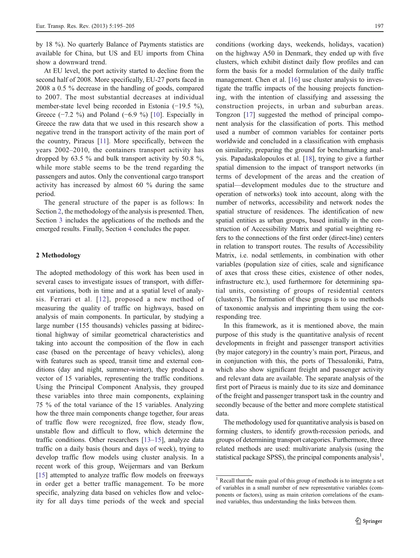by 18 %). No quarterly Balance of Payments statistics are available for China, but US and EU imports from China show a downward trend.

At EU level, the port activity started to decline from the second half of 2008. More specifically, EU-27 ports faced in 2008 a 0.5 % decrease in the handling of goods, compared to 2007. The most substantial decreases at individual member-state level being recorded in Estonia (−19.5 %), Greece  $(-7.2 \%)$  and Poland  $(-6.9 \%)$  [[10\]](#page-9-0). Especially in Greece the raw data that we used in this research show a negative trend in the transport activity of the main port of the country, Piraeus [\[11](#page-9-0)]. More specifically, between the years 2002–2010, the containers transport activity has dropped by 63.5 % and bulk transport activity by 50.8 %, while more stable seems to be the trend regarding the passengers and autos. Only the conventional cargo transport activity has increased by almost 60 % during the same period.

The general structure of the paper is as follows: In Section 2, the methodology of the analysis is presented. Then, Section [3](#page-3-0) includes the applications of the methods and the emerged results. Finally, Section [4](#page-8-0) concludes the paper.

#### 2 Methodology

The adopted methodology of this work has been used in several cases to investigate issues of transport, with different variations, both in time and at a spatial level of analysis. Ferrari et al. [[12](#page-9-0)], proposed a new method of measuring the quality of traffic on highways, based on analysis of main components. In particular, by studying a large number (155 thousands) vehicles passing at bidirectional highway of similar geometrical characteristics and taking into account the composition of the flow in each case (based on the percentage of heavy vehicles), along with features such as speed, transit time and external conditions (day and night, summer-winter), they produced a vector of 15 variables, representing the traffic conditions. Using the Principal Component Analysis, they grouped these variables into three main components, explaining 75 % of the total variance of the 15 variables. Analyzing how the three main components change together, four areas of traffic flow were recognized, free flow, steady flow, unstable flow and difficult to flow, which determine the traffic conditions. Other researchers [\[13](#page-9-0)–[15\]](#page-9-0), analyze data traffic on a daily basis (hours and days of week), trying to develop traffic flow models using cluster analysis. In a recent work of this group, Weijermars and van Berkum [\[15](#page-9-0)] attempted to analyze traffic flow models on freeways in order get a better traffic management. To be more specific, analyzing data based on vehicles flow and velocity for all days time periods of the week and special

conditions (working days, weekends, holidays, vacation) on the highway A50 in Denmark, they ended up with five clusters, which exhibit distinct daily flow profiles and can form the basis for a model formulation of the daily traffic management. Chen et al. [\[16](#page-9-0)] use cluster analysis to investigate the traffic impacts of the housing projects functioning, with the intention of classifying and assessing the construction projects, in urban and suburban areas. Tongzon [[17\]](#page-9-0) suggested the method of principal component analysis for the classification of ports. This method used a number of common variables for container ports worldwide and concluded in a classification with emphasis on similarity, preparing the ground for benchmarking analysis. Papadaskalopoulos et al. [[18\]](#page-9-0), trying to give a further spatial dimension to the impact of transport networks (in terms of development of the areas and the creation of spatial—development modules due to the structure and operation of networks) took into account, along with the number of networks, accessibility and network nodes the spatial structure of residences. The identification of new spatial entities as urban groups, based initially in the construction of Accessibility Matrix and spatial weighting refers to the connections of the first order (direct-line) centers in relation to transport routes. The results of Accessibility Matrix, i.e. nodal settlements, in combination with other variables (population size of cities, scale and significance of axes that cross these cities, existence of other nodes, infrastructure etc.), used furthermore for determining spatial units, consisting of groups of residential centers (clusters). The formation of these groups is to use methods of taxonomic analysis and imprinting them using the corresponding tree.

In this framework, as it is mentioned above, the main purpose of this study is the quantitative analysis of recent developments in freight and passenger transport activities (by major category) in the country's main port, Piraeus, and in conjunction with this, the ports of Thessaloniki, Patra, which also show significant freight and passenger activity and relevant data are available. The separate analysis of the first port of Piraeus is mainly due to its size and dominance of the freight and passenger transport task in the country and secondly because of the better and more complete statistical data.

The methodology used for quantitative analysis is based on forming clusters, to identify growth-recession periods, and groups of determining transport categories. Furthermore, three related methods are used: multivariate analysis (using the statistical package SPSS), the principal components analysis<sup>1</sup>,

 $1$  Recall that the main goal of this group of methods is to integrate a set of variables in a small number of new representative variables (components or factors), using as main criterion correlations of the examined variables, thus understanding the links between them.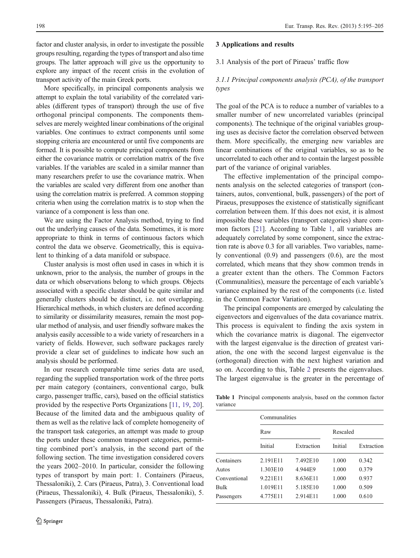<span id="page-3-0"></span>factor and cluster analysis, in order to investigate the possible groups resulting, regarding the types of transport and also time groups. The latter approach will give us the opportunity to explore any impact of the recent crisis in the evolution of transport activity of the main Greek ports.

More specifically, in principal components analysis we attempt to explain the total variability of the correlated variables (different types of transport) through the use of five orthogonal principal components. The components themselves are merely weighted linear combinations of the original variables. One continues to extract components until some stopping criteria are encountered or until five components are formed. It is possible to compute principal components from either the covariance matrix or correlation matrix of the five variables. If the variables are scaled in a similar manner than many researchers prefer to use the covariance matrix. When the variables are scaled very different from one another than using the correlation matrix is preferred. A common stopping criteria when using the correlation matrix is to stop when the variance of a component is less than one.

We are using the Factor Analysis method, trying to find out the underlying causes of the data. Sometimes, it is more appropriate to think in terms of continuous factors which control the data we observe. Geometrically, this is equivalent to thinking of a data manifold or subspace.

Cluster analysis is most often used in cases in which it is unknown, prior to the analysis, the number of groups in the data or which observations belong to which groups. Objects associated with a specific cluster should be quite similar and generally clusters should be distinct, i.e. not overlapping. Hierarchical methods, in which clusters are defined according to similarity or dissimilarity measures, remain the most popular method of analysis, and user friendly software makes the analysis easily accessible to a wide variety of researchers in a variety of fields. However, such software packages rarely provide a clear set of guidelines to indicate how such an analysis should be performed.

In our research comparable time series data are used, regarding the supplied transportation work of the three ports per main category (containers, conventional cargo, bulk cargo, passenger traffic, cars), based on the official statistics provided by the respective Ports Organizations [\[11](#page-9-0), [19](#page-9-0), [20](#page-10-0)]. Because of the limited data and the ambiguous quality of them as well as the relative lack of complete homogeneity of the transport task categories, an attempt was made to group the ports under these common transport categories, permitting combined port's analysis, in the second part of the following section. The time investigation considered covers the years 2002–2010. In particular, consider the following types of transport by main port: 1. Containers (Piraeus, Thessaloniki), 2. Cars (Piraeus, Patra), 3. Conventional load (Piraeus, Thessaloniki), 4. Bulk (Piraeus, Thessaloniki), 5. Passengers (Piraeus, Thessaloniki, Patra).

#### 3 Applications and results

3.1 Analysis of the port of Piraeus' traffic flow

# 3.1.1 Principal components analysis (PCA), of the transport types

The goal of the PCA is to reduce a number of variables to a smaller number of new uncorrelated variables (principal components). The technique of the original variables grouping uses as decisive factor the correlation observed between them. More specifically, the emerging new variables are linear combinations of the original variables, so as to be uncorrelated to each other and to contain the largest possible part of the variance of original variables.

The effective implementation of the principal components analysis on the selected categories of transport (containers, autos, conventional, bulk, passengers) of the port of Piraeus, presupposes the existence of statistically significant correlation between them. If this does not exist, it is almost impossible these variables (transport categories) share common factors [\[21](#page-10-0)]. According to Table 1, all variables are adequately correlated by some component, since the extraction rate is above 0.3 for all variables. Two variables, namely conventional (0.9) and passengers (0.6), are the most correlated, which means that they show common trends in a greater extent than the others. The Common Factors (Communalities), measure the percentage of each variable's variance explained by the rest of the components (i.e. listed in the Common Factor Variation).

The principal components are emerged by calculating the eigenvectors and eigenvalues of the data covariance matrix. This process is equivalent to finding the axis system in which the covariance matrix is diagonal. The eigenvector with the largest eigenvalue is the direction of greatest variation, the one with the second largest eigenvalue is the (orthogonal) direction with the next highest variation and so on. According to this, Table [2](#page-4-0) presents the eigenvalues. The largest eigenvalue is the greater in the percentage of

Table 1 Principal components analysis, based on the common factor variance

|              | Communalities |            |          |            |  |
|--------------|---------------|------------|----------|------------|--|
|              | Raw           |            | Rescaled |            |  |
|              | Initial       | Extraction | Initial  | Extraction |  |
| Containers   | 2.191E11      | 7.492E10   | 1.000    | 0.342      |  |
| Autos        | 1.303E10      | 4.944E9    | 1.000    | 0.379      |  |
| Conventional | 9.221E11      | 8.636E11   | 1.000    | 0.937      |  |
| Bulk         | 1.019E11      | 5.185E10   | 1.000    | 0.509      |  |
| Passengers   | 4.775E11      | 2.914E11   | 1.000    | 0.610      |  |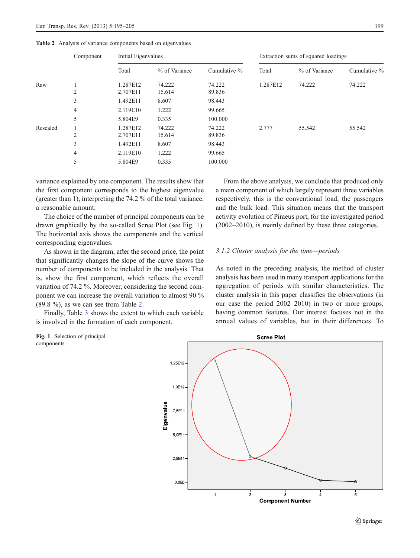<span id="page-4-0"></span>

|  |  |  | <b>Table 2</b> Analysis of variance components based on eigenvalues |  |  |  |
|--|--|--|---------------------------------------------------------------------|--|--|--|
|--|--|--|---------------------------------------------------------------------|--|--|--|

|          | Component      | Initial Eigenvalues |               |              |          | Extraction sums of squared loadings |              |
|----------|----------------|---------------------|---------------|--------------|----------|-------------------------------------|--------------|
|          |                | Total               | % of Variance | Cumulative % | Total    | % of Variance                       | Cumulative % |
| Raw      |                | 1.287E12            | 74.222        | 74.222       | 1.287E12 | 74.222                              | 74.222       |
|          | $\overline{2}$ | 2.707E11            | 15.614        | 89.836       |          |                                     |              |
|          | 3              | 1.492E11            | 8.607         | 98.443       |          |                                     |              |
|          | $\overline{4}$ | 2.119E10            | 1.222         | 99.665       |          |                                     |              |
|          | 5              | 5.804E9             | 0.335         | 100.000      |          |                                     |              |
| Rescaled |                | 1.287E12            | 74.222        | 74.222       | 2.777    | 55.542                              | 55.542       |
|          | $\overline{2}$ | 2.707E11            | 15.614        | 89.836       |          |                                     |              |
|          | 3              | 1.492E11            | 8.607         | 98.443       |          |                                     |              |
|          | $\overline{4}$ | 2.119E10            | 1.222         | 99.665       |          |                                     |              |
|          | 5              | 5.804E9             | 0.335         | 100.000      |          |                                     |              |

variance explained by one component. The results show that the first component corresponds to the highest eigenvalue (greater than 1), interpreting the 74.2 % of the total variance, a reasonable amount.

The choice of the number of principal components can be drawn graphically by the so-called Scree Plot (see Fig. 1). The horizontal axis shows the components and the vertical corresponding eigenvalues.

As shown in the diagram, after the second price, the point that significantly changes the slope of the curve shows the number of components to be included in the analysis. That is, show the first component, which reflects the overall variation of 74.2 %. Moreover, considering the second component we can increase the overall variation to almost 90 % (89.8 %), as we can see from Table 2.

Finally, Table [3](#page-5-0) shows the extent to which each variable is involved in the formation of each component.

From the above analysis, we conclude that produced only a main component of which largely represent three variables respectively, this is the conventional load, the passengers and the bulk load. This situation means that the transport activity evolution of Piraeus port, for the investigated period (2002–2010), is mainly defined by these three categories.

# 3.1.2 Cluster analysis for the time—periods

As noted in the preceding analysis, the method of cluster analysis has been used in many transport applications for the aggregation of periods with similar characteristics. The cluster analysis in this paper classifies the observations (in our case the period 2002–2010) in two or more groups, having common features. Our interest focuses not in the annual values of variables, but in their differences. To



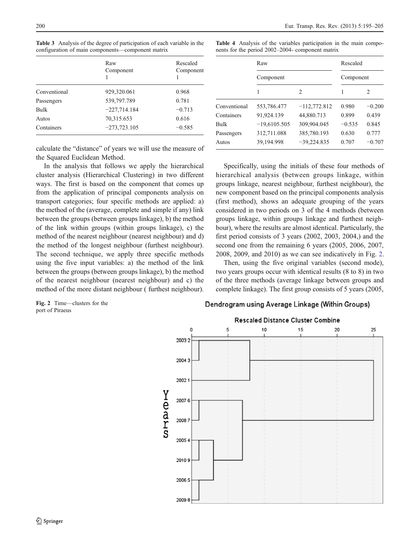|              | Raw<br>Component | Rescaled<br>Component |
|--------------|------------------|-----------------------|
| Conventional | 929,320.061      | 0.968                 |
| Passengers   | 539,797.789      | 0.781                 |
| <b>Bulk</b>  | $-227,714.184$   | $-0.713$              |
| Autos        | 70,315.653       | 0.616                 |
| Containers   | $-273,723.105$   | $-0.585$              |

<span id="page-5-0"></span>Table 3 Analysis of the degree of participation of each variable in the configuration of main components—component matrix

calculate the "distance" of years we will use the measure of the Squared Euclidean Method.

In the analysis that follows we apply the hierarchical cluster analysis (Hierarchical Clustering) in two different ways. The first is based on the component that comes up from the application of principal components analysis on transport categories; four specific methods are applied: a) the method of the (average, complete and simple if any) link between the groups (between groups linkage), b) the method of the link within groups (within groups linkage), c) the method of the nearest neighbour (nearest neighbour) and d) the method of the longest neighbour (furthest neighbour). The second technique, we apply three specific methods using the five input variables: a) the method of the link between the groups (between groups linkage), b) the method of the nearest neighbour (nearest neighbour) and c) the method of the more distant neighbour ( furthest neighbour).

Fig. 2 Time—clusters for the port of Piraeus

Table 4 Analysis of the variables participation in the main components for the period 2002–2004- component matrix

|              | Raw            | Rescaled       |          |          |
|--------------|----------------|----------------|----------|----------|
|              | Component      | Component      |          |          |
|              |                | 2              | 1        | 2        |
| Conventional | 553,786.477    | $-112,772.812$ | 0.980    | $-0.200$ |
| Containers   | 91,924.139     | 44,880.713     | 0.899    | 0.439    |
| <b>Bulk</b>  | $-19,6105.505$ | 309,904.045    | $-0.535$ | 0.845    |
| Passengers   | 312,711.088    | 385,780.193    | 0.630    | 0.777    |
| Autos        | 39,194.998     | $-39,224.835$  | 0.707    | $-0.707$ |

Specifically, using the initials of these four methods of hierarchical analysis (between groups linkage, within groups linkage, nearest neighbour, furthest neighbour), the new component based on the principal components analysis (first method), shows an adequate grouping of the years considered in two periods on 3 of the 4 methods (between groups linkage, within groups linkage and furthest neighbour), where the results are almost identical. Particularly, the first period consists of 3 years (2002, 2003, 2004,) and the second one from the remaining 6 years (2005, 2006, 2007, 2008, 2009, and 2010) as we can see indicatively in Fig. 2.

Then, using the five original variables (second mode), two years groups occur with identical results (8 to 8) in two of the three methods (average linkage between groups and complete linkage). The first group consists of 5 years (2005,

# Dendrogram using Average Linkage (Within Groups)

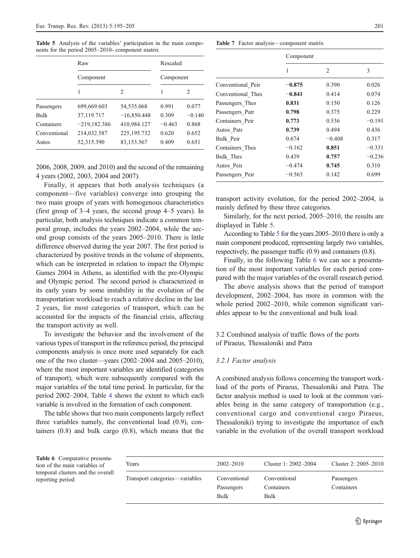<span id="page-6-0"></span>Table 5 Analysis of the variables' participation in the main components for the period 2005–2010- component matrix

|              | Raw            | Rescaled       |          |          |
|--------------|----------------|----------------|----------|----------|
|              | Component      | Component      |          |          |
|              | 1              | $\mathfrak{D}$ | 1        | 2        |
| Passengers   | 699,669.603    | 54,535.068     | 0.991    | 0.077    |
| <b>Bulk</b>  | 37,119.717     | $-16,850,448$  | 0.309    | $-0.140$ |
| Containers   | $-219,182.386$ | 410,984.127    | $-0.463$ | 0.868    |
| Conventional | 214,032.587    | 225, 195. 732  | 0.620    | 0.652    |
| Autos        | 52,315.390     | 83,153.567     | 0.409    | 0.651    |

2006, 2008, 2009, and 2010) and the second of the remaining 4 years (2002, 2003, 2004 and 2007).

Finally, it appears that both analysis techniques (a component—five variables) converge into grouping the two main groups of years with homogenous characteristics (first group of 3–4 years, the second group 4–5 years). In particular, both analysis techniques indicate a common temporal group, includes the years 2002–2004, while the second group consists of the years 2005–2010. There is little difference observed during the year 2007. The first period is characterized by positive trends in the volume of shipments, which can be interpreted in relation to impact the Olympic Games 2004 in Athens, as identified with the pre-Olympic and Olympic period. The second period is characterized in its early years by some instability in the evolution of the transportation workload to reach a relative decline in the last 2 years, for most categories of transport, which can be accounted for the impacts of the financial crisis, affecting the transport activity as well.

To investigate the behavior and the involvement of the various types of transport in the reference period, the principal components analysis is once more used separately for each one of the two cluster—years (2002–2004 and 2005–2010), where the most important variables are identified (categories of transport), which were subsequently compared with the major variables of the total time period. In particular, for the period 2002–2004, Table [4](#page-5-0) shows the extent to which each variable is involved in the formation of each component.

The table shows that two main components largely reflect three variables namely, the conventional load (0.9), containers (0.8) and bulk cargo (0.8), which means that the Component

Table 7 Factor analysis—component matrix

|                   |          | $\overline{2}$ | 3        |
|-------------------|----------|----------------|----------|
| Conventional Peir | $-0.875$ | 0.390          | 0.026    |
| Conventional Thes | $-0.841$ | 0.414          | 0.074    |
| Passengers Thes   | 0.831    | 0.150          | 0.126    |
| Passengers Patr   | 0.798    | 0.375          | 0.229    |
| Containers Peir   | 0.773    | 0.536          | $-0.191$ |
| Autos Patr        | 0.739    | 0.494          | 0.436    |
| Bulk Peir         | 0.674    | $-0.408$       | 0.317    |
| Containers Thes   | $-0.162$ | 0.851          | $-0.331$ |
| <b>Bulk Thes</b>  | 0.439    | 0.757          | $-0.236$ |
| Autos Peir        | $-0.474$ | 0.745          | 0.310    |
| Passengers Peir   | $-0.563$ | 0.142          | 0.699    |
|                   |          |                |          |

transport activity evolution, for the period 2002–2004, is mainly defined by these three categories.

Similarly, for the next period, 2005–2010, the results are displayed in Table 5.

According to Table 5 for the years 2005–2010 there is only a main component produced, representing largely two variables, respectively, the passenger traffic (0.9) and containers (0.8).

Finally, in the following Table 6 we can see a presentation of the most important variables for each period compared with the major variables of the overall research period.

The above analysis shows that the period of transport development, 2002–2004, has more in common with the whole period 2002–2010, while common significant variables appear to be the conventional and bulk load.

3.2 Combined analysis of traffic flows of the ports of Piraeus, Thessaloniki and Patra

# 3.2.1 Factor analysis

A combined analysis follows concerning the transport workload of the ports of Piraeus, Thessaloniki and Patra. The factor analysis method is used to look at the common variables being in the same category of transportation (e.g., conventional cargo and conventional cargo Piraeus, Thessaloniki) trying to investigate the importance of each variable in the evolution of the overall transport workload

Table 6 Comparative presentation of the main variables of temporal clusters and the overall reporting period

| Years                          | $2002 - 2010$                      | Cluster 1: 2002–2004               | Cluster 2: 2005-2010     |
|--------------------------------|------------------------------------|------------------------------------|--------------------------|
| Transport categories—variables | Conventional<br>Passengers<br>Bulk | Conventional<br>Containers<br>Bulk | Passengers<br>Containers |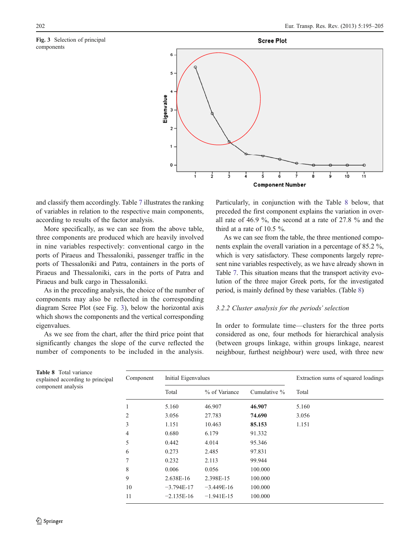



and classify them accordingly. Table [7](#page-6-0) illustrates the ranking of variables in relation to the respective main components, according to results of the factor analysis.

More specifically, as we can see from the above table, three components are produced which are heavily involved in nine variables respectively: conventional cargo in the ports of Piraeus and Thessaloniki, passenger traffic in the ports of Thessaloniki and Patra, containers in the ports of Piraeus and Thessaloniki, cars in the ports of Patra and Piraeus and bulk cargo in Thessaloniki.

As in the preceding analysis, the choice of the number of components may also be reflected in the corresponding diagram Scree Plot (see Fig. 3), below the horizontal axis which shows the components and the vertical corresponding eigenvalues.

As we see from the chart, after the third price point that significantly changes the slope of the curve reflected the number of components to be included in the analysis. Particularly, in conjunction with the Table 8 below, that preceded the first component explains the variation in overall rate of 46.9 %, the second at a rate of 27.8 % and the third at a rate of 10.5 %.

As we can see from the table, the three mentioned components explain the overall variation in a percentage of 85.2 %, which is very satisfactory. These components largely represent nine variables respectively, as we have already shown in Table [7.](#page-6-0) This situation means that the transport activity evolution of the three major Greek ports, for the investigated period, is mainly defined by these variables. (Table 8)

#### 3.2.2 Cluster analysis for the periods'selection

In order to formulate time—clusters for the three ports considered as one, four methods for hierarchical analysis (between groups linkage, within groups linkage, nearest neighbour, furthest neighbour) were used, with three new

| Component | Initial Eigenvalues |               |                 | Extraction sums of squared loadings |  |
|-----------|---------------------|---------------|-----------------|-------------------------------------|--|
|           | Total               | % of Variance | Cumulative $\%$ | Total                               |  |
|           | 5.160               | 46.907        | 46.907          | 5.160                               |  |
| 2         | 3.056               | 27.783        | 74.690          | 3.056                               |  |
| 3         | 1.151               | 10.463        | 85.153          | 1.151                               |  |
| 4         | 0.680               | 6.179         | 91.332          |                                     |  |
| 5         | 0.442               | 4.014         | 95.346          |                                     |  |
| 6         | 0.273               | 2.485         | 97.831          |                                     |  |
| 7         | 0.232               | 2.113         | 99.944          |                                     |  |
| 8         | 0.006               | 0.056         | 100.000         |                                     |  |
| 9         | 2.638E-16           | 2.398E-15     | 100.000         |                                     |  |
| 10        | $-3.794E-17$        | $-3.449E-16$  | 100.000         |                                     |  |
| 11        | $-2.135E-16$        | $-1.941E-15$  | 100.000         |                                     |  |
|           |                     |               |                 |                                     |  |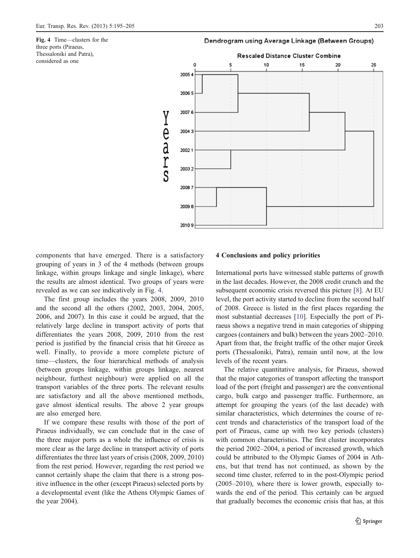<span id="page-8-0"></span>Fig. 4 Time—clusters for the three ports (Piraeus, Thessaloniki and Patra), considered as one

# Dendrogram using Average Linkage (Between Groups)



components that have emerged. There is a satisfactory grouping of years in 3 of the 4 methods (between groups linkage, within groups linkage and single linkage), where the results are almost identical. Two groups of years were revealed as we can see indicatively in Fig. 4.

The first group includes the years 2008, 2009, 2010 and the second all the others (2002, 2003, 2004, 2005, 2006, and 2007). In this case it could be argued, that the relatively large decline in transport activity of ports that differentiates the years 2008, 2009, 2010 from the rest period is justified by the financial crisis that hit Greece as well. Finally, to provide a more complete picture of time—clusters, the four hierarchical methods of analysis (between groups linkage, within groups linkage, nearest neighbour, furthest neighbour) were applied on all the transport variables of the three ports. The relevant results are satisfactory and all the above mentioned methods, gave almost identical results. The above 2 year groups are also emerged here.

If we compare these results with those of the port of Piraeus individually, we can conclude that in the case of the three major ports as a whole the influence of crisis is more clear as the large decline in transport activity of ports differentiates the three last years of crisis (2008, 2009, 2010) from the rest period. However, regarding the rest period we cannot certainly shape the claim that there is a strong positive influence in the other (except Piraeus) selected ports by a developmental event (like the Athens Olympic Games of the year 2004).

#### 4 Conclusions and policy priorities

International ports have witnessed stable patterns of growth in the last decades. However, the 2008 credit crunch and the subsequent economic crisis reversed this picture [[8\]](#page-9-0). At EU level, the port activity started to decline from the second half of 2008. Greece is listed in the first places regarding the most substantial decreases [\[10](#page-9-0)]. Especially the port of Piraeus shows a negative trend in main categories of shipping cargoes (containers and bulk) between the years 2002–2010. Apart from that, the freight traffic of the other major Greek ports (Thessaloniki, Patra), remain until now, at the low levels of the recent years.

The relative quantitative analysis, for Piraeus, showed that the major categories of transport affecting the transport load of the port (freight and passenger) are the conventional cargo, bulk cargo and passenger traffic. Furthermore, an attempt for grouping the years (of the last decade) with similar characteristics, which determines the course of recent trends and characteristics of the transport load of the port of Piraeus, came up with two key periods (clusters) with common characteristics. The first cluster incorporates the period 2002–2004, a period of increased growth, which could be attributed to the Olympic Games of 2004 in Athens, but that trend has not continued, as shown by the second time cluster, referred to in the post-Olympic period (2005–2010), where there is lower growth, especially towards the end of the period. This certainly can be argued that gradually becomes the economic crisis that has, at this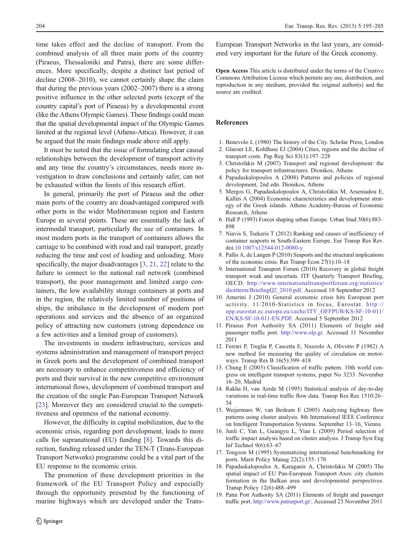<span id="page-9-0"></span>time takes effect and the decline of transport. From the combined analysis of all three main ports of the country (Piraeus, Thessaloniki and Patra), there are some differences. More specifically, despite a distinct last period of decline (2008–2010), we cannot certainly shape the claim that during the previous years (2002–2007) there is a strong positive influence in the other selected ports (except of the country capital's port of Piraeus) by a developmental event (like the Athens Olympic Games). These findings could mean that the spatial developmental impact of the Olympic Games limited at the regional level (Athens-Attica). However, it can be argued that the main findings made above still apply.

It must be noted that the issue of formulating clear causal relationships between the development of transport activity and any time the country's circumstances, needs more investigation to draw conclusions and certainly safer, can not be exhausted within the limits of this research effort.

In general, primarily the port of Piraeus and the other main ports of the country are disadvantaged compared with other ports in the wider Mediterranean region and Eastern Europe in several points. These are essentially the lack of intermodal transport, particularly the use of containers. In most modern ports in the transport of containers allows the carriage to be combined with road and rail transport, greatly reducing the time and cost of loading and unloading. More specifically, the major disadvantages [3, [21,](#page-10-0) [22\]](#page-10-0) relate to the failure to connect to the national rail network (combined transport), the poor management and limited cargo containers, the low availability storage containers at ports and in the region, the relatively limited number of positions of ships, the imbalance in the development of modern port operations and services and the absence of an organized policy of attracting new customers (strong dependence on a few activities and a limited group of customers).

The investments in modern infrastructure, services and systems administration and management of transport project in Greek ports and the development of combined transport are necessary to enhance competitiveness and efficiency of ports and their survival in the new competitive environment international flows, development of combined transport and the creation of the single Pan-European Transport Network [\[23](#page-10-0)]. Moreover they are considered crucial to the competitiveness and openness of the national economy.

However, the difficulty in capital mobilization, due to the economic crisis, regarding port development, leads to more calls for supranational (EU) funding [8]. Towards this direction, funding released under the TEN-T (Trans-European Transport Networks) programme could be a vital part of the EU response to the economic crisis.

The promotion of these development priorities in the framework of the EU Transport Policy and especially through the opportunity presented by the functioning of marine highways which are developed under the Trans-

European Transport Networks in the last years, are considered very important for the future of the Greek economy.

Open Access This article is distributed under the terms of the Creative Commons Attribution License which permits any use, distribution, and reproduction in any medium, provided the original author(s) and the source are credited.

#### References

- 1. Benevolo L (1980) The history of the City. Scholar Press, London
- 2. Glaeser LE, Kohlhase EJ (2004) Cities, regions and the decline of
- transport costs. Pap Reg Sci 83(1):197–228 3. Christofakis M (2007) Transport and regional development: the policy for transport infrastructures. Dionikos, Athens
- 4. Papadaskalopoulos A (2008) Patterns and policies of regional development, 2nd edn. Dionikos, Athens
- 5. Mergos G, Papadaskalopoulos A, Christofakis M, Arseniadou E, Kalliri A (2004) Economic characteristics and development strategy of the Greek islands. Athens Academy-Bureau of Economic Research, Athens
- 6. Hall P (1993) Forces shaping urban Europe. Urban Stud 30(6):883– 898
- 7. Niavis S, Tsekeris T (2012) Ranking and causes of inefficiency of container seaports in South-Eastern Europe. Eur Transp Res Rev. doi[:10.1007/s12544-012-0080-y](http://dx.doi.org/10.1007/s12544-012-0080-y)
- 8. Pallis A, de Langen P (2010) Seaports and the structural implications of the economic crisis. Res Transp Econ 27(1):10–18
- 9. International Transport Forum (2010) Recovery in global freight transport weak and uncertain. ITF Quarterly Transport Briefing, OECD. [http://www.internationaltransportforum.org/statistics/](http://www.internationaltransportforum.org/statistics/shortterm/BriefingQ2_2010.pdf) [shortterm/BriefingQ2\\_2010.pdf](http://www.internationaltransportforum.org/statistics/shortterm/BriefingQ2_2010.pdf). Accessed 10 September 2012
- 10. Amerini J (2010) General economic crisis hits European port activity. 11/2010-Statistics in focus, Eurostat. [http://](http://epp.eurostat.ec.europa.eu/cache/ITY_OFFPUB/KS-SF-10-011/EN/KS-SF-10-011-EN.PDF) [epp.eurostat.ec.europa.eu/cache/ITY\\_OFFPUB/KS-SF-10-011/](http://epp.eurostat.ec.europa.eu/cache/ITY_OFFPUB/KS-SF-10-011/EN/KS-SF-10-011-EN.PDF) [EN/KS-SF-10-011-EN.PDF.](http://epp.eurostat.ec.europa.eu/cache/ITY_OFFPUB/KS-SF-10-011/EN/KS-SF-10-011-EN.PDF) Accessed 5 September 2012
- 11. Piraeus Port Authority SA (2011) Elements of freight and passenger traffic port. [http://www.olp.gr.](http://www.olp.gr/) Accessed 11 November 2011
- 12. Ferrari P, Treglia P, Cascetta E, Nuzzolo A, Olivotto P (1982) A new method for measuring the quality of circulation on motorways. Transp Res B 16(5):399–418
- 13. Chung E (2003) Classification of traffic pattern. 10th world congress on intelligent transport systems, paper No 3233. November 16–20, Madrid
- 14. Rakha H, van Aerde M (1995) Statistical analysis of day-to-day variations in real-time traffic flow data. Transp Res Rec 1510:26– 34
- 15. Weijermars W, van Berkum E (2005) Analyzing highway flow patterns using cluster analysis. 8th International IEEE Conference on Intelligent Transportation Systems. September 13–16, Vienna
- 16. Junli C, Yan L, Guangyu L, Yian L (2009) Period selection of traffic impact analysis based on cluster analysis. J Transp Syst Eng Inf Technol 9(6):63–67
- 17. Tongzon M (1995) Systematizing international benchmarking for ports. Marit Policy Manag 22(2):155–170
- 18. Papadaskalopoulos A, Karaganis A, Christofakis M (2005) The spatial impact of EU Pan-European Transport Axes: city clusters formation in the Balkan area and developmental perspectives. Transp Policy 12(6):488–499
- 19. Patra Port Authority SA (2011) Elements of freight and passenger traffic port. <http://www.patrasport.gr/>. Accessed 23 November 2011